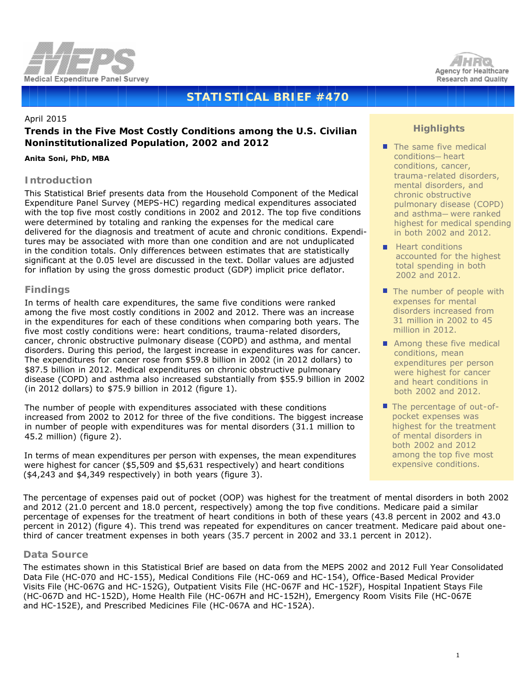



# **STATISTICAL BRIEF #470**

### April 2015

## **Trends in the Five Most Costly Conditions among the U.S. Civilian Noninstitutionalized Population, 2002 and 2012**

#### *Anita Soni, PhD, MBA*

### **Introduction**

This Statistical Brief presents data from the Household Component of the Medical Expenditure Panel Survey (MEPS-HC) regarding medical expenditures associated with the top five most costly conditions in 2002 and 2012. The top five conditions were determined by totaling and ranking the expenses for the medical care delivered for the diagnosis and treatment of acute and chronic conditions. Expenditures may be associated with more than one condition and are not unduplicated in the condition totals. Only differences between estimates that are statistically significant at the 0.05 level are discussed in the text. Dollar values are adjusted for inflation by using the gross domestic product (GDP) implicit price deflator.

### **Findings**

In terms of health care expenditures, the same five conditions were ranked among the five most costly conditions in 2002 and 2012. There was an increase in the expenditures for each of these conditions when comparing both years. The five most costly conditions were: heart conditions, trauma-related disorders, cancer, chronic obstructive pulmonary disease (COPD) and asthma, and mental disorders. During this period, the largest increase in expenditures was for cancer. The expenditures for cancer rose from \$59.8 billion in 2002 (in 2012 dollars) to \$87.5 billion in 2012. Medical expenditures on chronic obstructive pulmonary disease (COPD) and asthma also increased substantially from \$55.9 billion in 2002 (in 2012 dollars) to \$75.9 billion in 2012 (figure 1).

The number of people with expenditures associated with these conditions increased from 2002 to 2012 for three of the five conditions. The biggest increase in number of people with expenditures was for mental disorders (31.1 million to 45.2 million) (figure 2).

 In terms of mean expenditures per person with expenses, the mean expenditures were highest for cancer (\$5,509 and \$5,631 respectively) and heart conditions (\$4,243 and \$4,349 respectively) in both years (figure 3).

## **Highlights**

- The same five medical conditions—heart conditions, cancer, trauma-related disorders, mental disorders, and chronic obstructive pulmonary disease (COPD) and asthma—were ranked highest for medical spending in both 2002 and 2012.
- $H$  Heart conditions accounted for the highest total spending in both 2002 and 2012.
- $\blacksquare$  The number of people with expenses for mental disorders increased from 31 million in 2002 to 45 million in 2012.
- Among these five medical conditions, mean expenditures per person were highest for cancer and heart conditions in both 2002 and 2012.
- The percentage of out-ofpocket expenses was highest for the treatment of mental disorders in both 2002 and 2012 among the top five most expensive conditions.

The percentage of expenses paid out of pocket (OOP) was highest for the treatment of mental disorders in both 2002 and 2012 (21.0 percent and 18.0 percent, respectively) among the top five conditions. Medicare paid a similar percentage of expenses for the treatment of heart conditions in both of these years (43.8 percent in 2002 and 43.0 percent in 2012) (figure 4). This trend was repeated for expenditures on cancer treatment. Medicare paid about onethird of cancer treatment expenses in both years (35.7 percent in 2002 and 33.1 percent in 2012).

### **Data Source**

The estimates shown in this Statistical Brief are based on data from the MEPS 2002 and 2012 Full Year Consolidated Data File (HC-070 and HC-155), Medical Conditions File (HC-069 and HC-154), Office-Based Medical Provider Visits File (HC-067G and HC-152G), Outpatient Visits File (HC-067F and HC-152F), Hospital Inpatient Stays File (HC-067D and HC-152D), Home Health File (HC-067H and HC-152H), Emergency Room Visits File (HC-067E and HC-152E), and Prescribed Medicines File (HC-067A and HC-152A).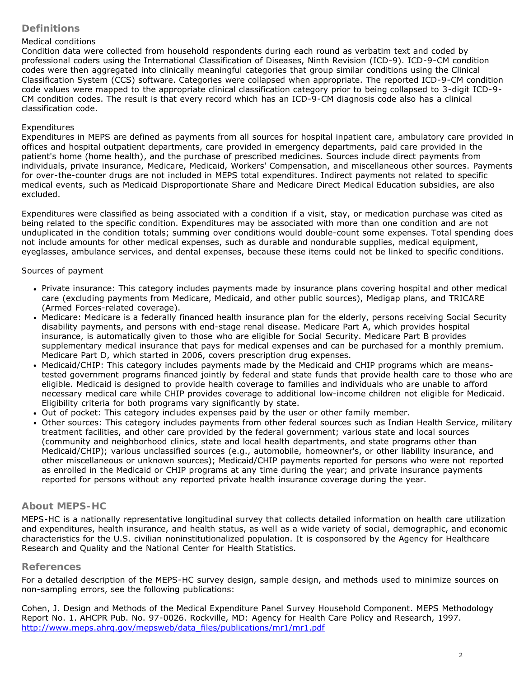## **Definitions**

## *Medical conditions*

Condition data were collected from household respondents during each round as verbatim text and coded by professional coders using the International Classification of Diseases, Ninth Revision (ICD-9). ICD-9-CM condition codes were then aggregated into clinically meaningful categories that group similar conditions using the Clinical Classification System (CCS) software. Categories were collapsed when appropriate. The reported ICD-9-CM condition code values were mapped to the appropriate clinical classification category prior to being collapsed to 3-digit ICD-9- CM condition codes. The result is that every record which has an ICD-9-CM diagnosis code also has a clinical classification code.

## *Expenditures*

Expenditures in MEPS are defined as payments from all sources for hospital inpatient care, ambulatory care provided in offices and hospital outpatient departments, care provided in emergency departments, paid care provided in the patient's home (home health), and the purchase of prescribed medicines. Sources include direct payments from individuals, private insurance, Medicare, Medicaid, Workers' Compensation, and miscellaneous other sources. Payments for over-the-counter drugs are not included in MEPS total expenditures. Indirect payments not related to specific medical events, such as Medicaid Disproportionate Share and Medicare Direct Medical Education subsidies, are also excluded.

Expenditures were classified as being associated with a condition if a visit, stay, or medication purchase was cited as being related to the specific condition. Expenditures may be associated with more than one condition and are not unduplicated in the condition totals; summing over conditions would double-count some expenses. Total spending does not include amounts for other medical expenses, such as durable and nondurable supplies, medical equipment, eyeglasses, ambulance services, and dental expenses, because these items could not be linked to specific conditions.

## *Sources of payment*

- Private insurance: This category includes payments made by insurance plans covering hospital and other medical care (excluding payments from Medicare, Medicaid, and other public sources), Medigap plans, and TRICARE (Armed Forces-related coverage).
- Medicare: Medicare is a federally financed health insurance plan for the elderly, persons receiving Social Security disability payments, and persons with end-stage renal disease. Medicare Part A, which provides hospital insurance, is automatically given to those who are eligible for Social Security. Medicare Part B provides supplementary medical insurance that pays for medical expenses and can be purchased for a monthly premium. Medicare Part D, which started in 2006, covers prescription drug expenses.
- Medicaid/CHIP: This category includes payments made by the Medicaid and CHIP programs which are meanstested government programs financed jointly by federal and state funds that provide health care to those who are eligible. Medicaid is designed to provide health coverage to families and individuals who are unable to afford necessary medical care while CHIP provides coverage to additional low-income children not eligible for Medicaid. Eligibility criteria for both programs vary significantly by state.
- Out of pocket: This category includes expenses paid by the user or other family member.
- Other sources: This category includes payments from other federal sources such as Indian Health Service, military treatment facilities, and other care provided by the federal government; various state and local sources (community and neighborhood clinics, state and local health departments, and state programs other than Medicaid/CHIP); various unclassified sources (e.g., automobile, homeowner's, or other liability insurance, and other miscellaneous or unknown sources); Medicaid/CHIP payments reported for persons who were not reported as enrolled in the Medicaid or CHIP programs at any time during the year; and private insurance payments reported for persons without any reported private health insurance coverage during the year.

## **About MEPS-HC**

MEPS-HC is a nationally representative longitudinal survey that collects detailed information on health care utilization and expenditures, health insurance, and health status, as well as a wide variety of social, demographic, and economic characteristics for the U.S. civilian noninstitutionalized population. It is cosponsored by the Agency for Healthcare Research and Quality and the National Center for Health Statistics.

## **References**

For a detailed description of the MEPS-HC survey design, sample design, and methods used to minimize sources on non-sampling errors, see the following publications:

Cohen, J. *Design and Methods of the Medical Expenditure Panel Survey Household Component*. MEPS Methodology Report No. 1. AHCPR Pub. No. 97-0026. Rockville, MD: Agency for Health Care Policy and Research, 1997. [http://www.meps.ahrq.gov/mepsweb/data\\_files/publications/mr1/mr1.pdf](http://www.meps.ahrq.gov/mepsweb/data_files/publications/mr1/mr1.pdf)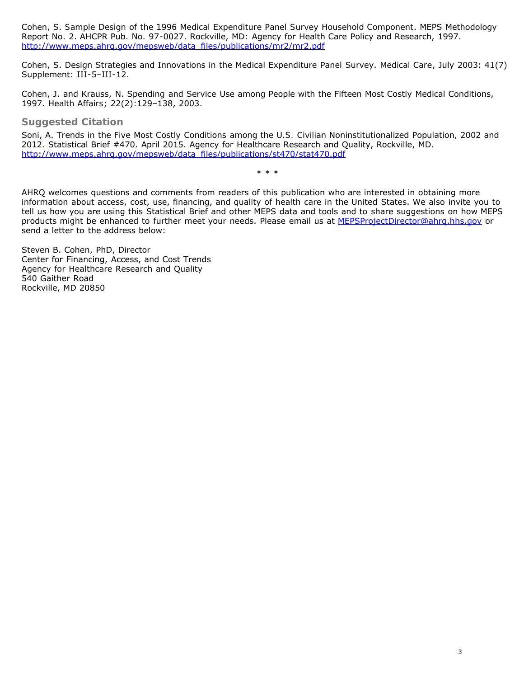Cohen, S. *Sample Design of the 1996 Medical Expenditure Panel Survey Household Component*. MEPS Methodology Report No. 2. AHCPR Pub. No. 97-0027. Rockville, MD: Agency for Health Care Policy and Research, 1997. [http://www.meps.ahrq.gov/mepsweb/data\\_files/publications/mr2/mr2.pdf](http://www.meps.ahrq.gov/mepsweb/data_files/publications/mr2/mr2.pdf)

Cohen, S. Design Strategies and Innovations in the Medical Expenditure Panel Survey. *Medical Care*, July 2003: 41(7) Supplement: III-5–III-12.

Cohen, J. and Krauss, N. Spending and Service Use among People with the Fifteen Most Costly Medical Conditions, 1997. *Health Affairs*; 22(2):129–138, 2003.

**Suggested Citation**

Soni, A. *Trends in the Five Most Costly Conditions among the U.S. Civilian Noninstitutionalized Population, 2002 and 2012*. Statistical Brief #470. April 2015. Agency for Healthcare Research and Quality, Rockville, MD. [http://www.meps.ahrq.gov/mepsweb/data\\_files/publications/st470/stat470.pdf](http://www.meps.ahrq.gov/mepsweb/data_files/publications/st470/stat470.pdf)

\* \* \*

AHRQ welcomes questions and comments from readers of this publication who are interested in obtaining more information about access, cost, use, financing, and quality of health care in the United States. We also invite you to tell us how you are using this Statistical Brief and other MEPS data and tools and to share suggestions on how MEPS products might be enhanced to further meet your needs. Please email us at [MEPSProjectDirector@ahrq.hhs.gov](mailto:MEPSProjectDirector@ahrq.hhs.gov) or send a letter to the address below:

Steven B. Cohen, PhD, Director Center for Financing, Access, and Cost Trends Agency for Healthcare Research and Quality 540 Gaither Road Rockville, MD 20850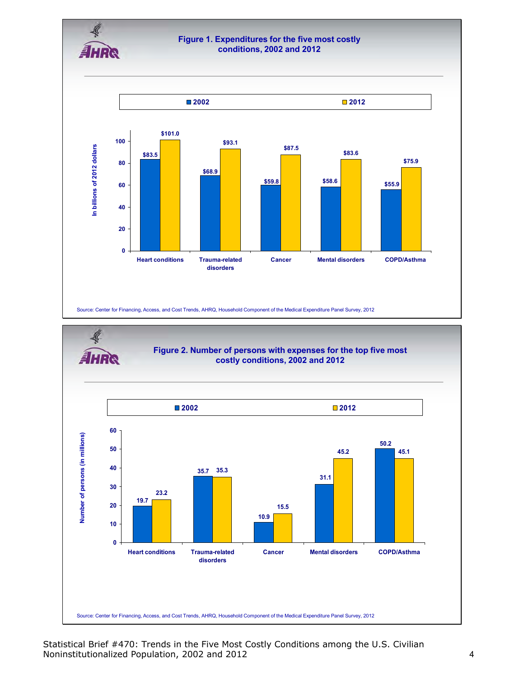

### **Figure 1. Expenditures for the five most costly conditions, 2002 and 2012**



Source: Center for Financing, Access, and Cost Trends, AHRQ, Household Component of the Medical Expenditure Panel Survey, 2012



Statistical Brief #470: Trends in the Five Most Costly Conditions among the U.S. Civilian Noninstitutionalized Population, 2002 and 2012 4